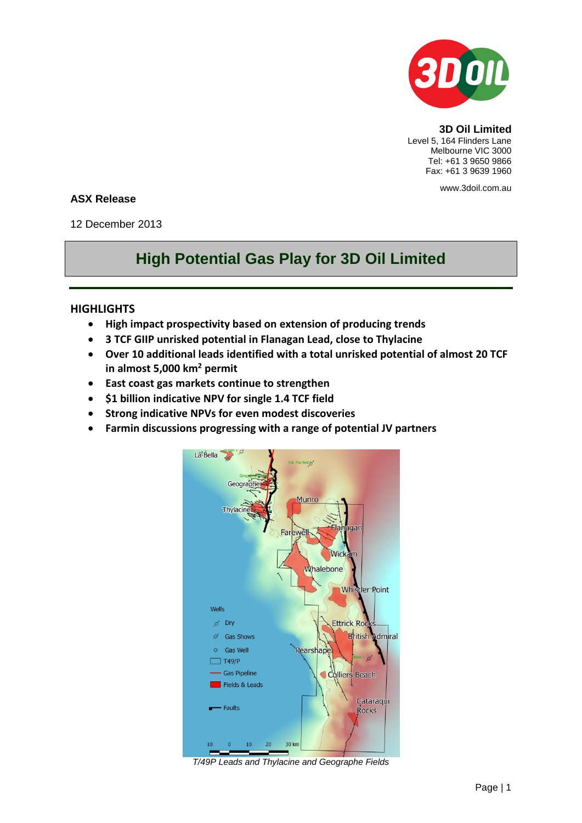

**3D Oil Limited** Level 5, 164 Flinders Lane Melbourne VIC 3000 Tel: +61 3 9650 9866 Fax: +61 3 9639 1960

www.3doil.com.au

## **ASX Release**

12 December 2013

# **High Potential Gas Play for 3D Oil Limited**

### **HIGHLIGHTS**

- **High impact prospectivity based on extension of producing trends**
- **3 TCF GIIP unrisked potential in Flanagan Lead, close to Thylacine**
- **Over 10 additional leads identified with a total unrisked potential of almost 20 TCF in almost 5,000 km<sup>2</sup> permit**
- **East coast gas markets continue to strengthen**
- **\$1 billion indicative NPV for single 1.4 TCF field**
- **Strong indicative NPVs for even modest discoveries**
- **Farmin discussions progressing with a range of potential JV partners**



*T/49P Leads and Thylacine and Geographe Fields*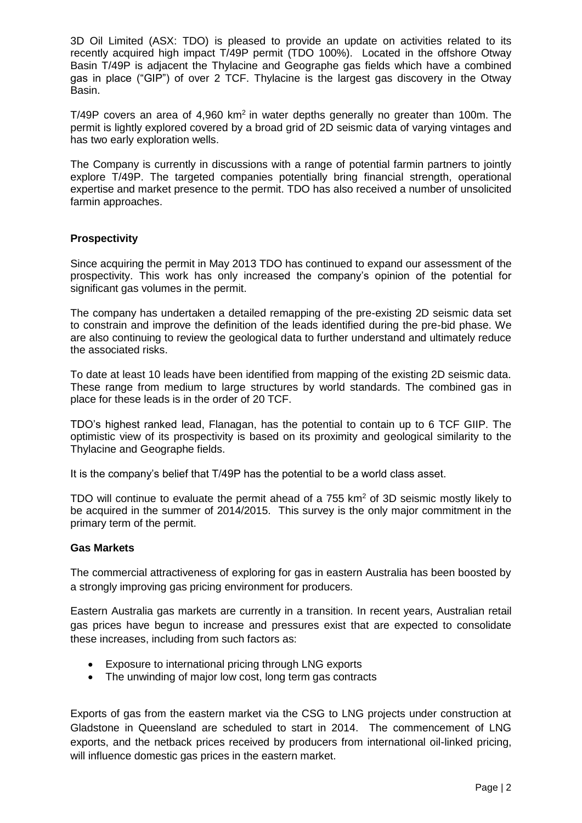3D Oil Limited (ASX: TDO) is pleased to provide an update on activities related to its recently acquired high impact T/49P permit (TDO 100%). Located in the offshore Otway Basin T/49P is adjacent the Thylacine and Geographe gas fields which have a combined gas in place ("GIP") of over 2 TCF. Thylacine is the largest gas discovery in the Otway Basin.

 $T/49P$  covers an area of  $4,960$  km<sup>2</sup> in water depths generally no greater than 100m. The permit is lightly explored covered by a broad grid of 2D seismic data of varying vintages and has two early exploration wells.

The Company is currently in discussions with a range of potential farmin partners to jointly explore T/49P. The targeted companies potentially bring financial strength, operational expertise and market presence to the permit. TDO has also received a number of unsolicited farmin approaches.

#### **Prospectivity**

Since acquiring the permit in May 2013 TDO has continued to expand our assessment of the prospectivity. This work has only increased the company's opinion of the potential for significant gas volumes in the permit.

The company has undertaken a detailed remapping of the pre-existing 2D seismic data set to constrain and improve the definition of the leads identified during the pre-bid phase. We are also continuing to review the geological data to further understand and ultimately reduce the associated risks.

To date at least 10 leads have been identified from mapping of the existing 2D seismic data. These range from medium to large structures by world standards. The combined gas in place for these leads is in the order of 20 TCF.

TDO's highest ranked lead, Flanagan, has the potential to contain up to 6 TCF GIIP. The optimistic view of its prospectivity is based on its proximity and geological similarity to the Thylacine and Geographe fields.

It is the company's belief that T/49P has the potential to be a world class asset.

TDO will continue to evaluate the permit ahead of a 755 km<sup>2</sup> of 3D seismic mostly likely to be acquired in the summer of 2014/2015. This survey is the only major commitment in the primary term of the permit.

#### **Gas Markets**

The commercial attractiveness of exploring for gas in eastern Australia has been boosted by a strongly improving gas pricing environment for producers.

Eastern Australia gas markets are currently in a transition. In recent years, Australian retail gas prices have begun to increase and pressures exist that are expected to consolidate these increases, including from such factors as:

- Exposure to international pricing through LNG exports
- The unwinding of major low cost, long term gas contracts

Exports of gas from the eastern market via the CSG to LNG projects under construction at Gladstone in Queensland are scheduled to start in 2014. The commencement of LNG exports, and the netback prices received by producers from international oil-linked pricing, will influence domestic gas prices in the eastern market.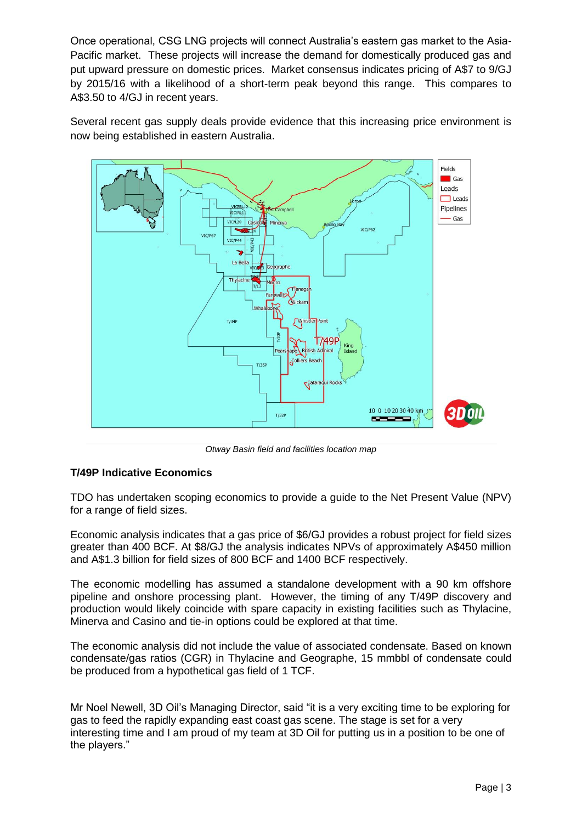Once operational, CSG LNG projects will connect Australia's eastern gas market to the Asia-Pacific market. These projects will increase the demand for domestically produced gas and put upward pressure on domestic prices. Market consensus indicates pricing of A\$7 to 9/GJ by 2015/16 with a likelihood of a short-term peak beyond this range. This compares to A\$3.50 to 4/GJ in recent years.

Several recent gas supply deals provide evidence that this increasing price environment is now being established in eastern Australia.



*Otway Basin field and facilities location map*

#### **T/49P Indicative Economics**

TDO has undertaken scoping economics to provide a guide to the Net Present Value (NPV) for a range of field sizes.

Economic analysis indicates that a gas price of \$6/GJ provides a robust project for field sizes greater than 400 BCF. At \$8/GJ the analysis indicates NPVs of approximately A\$450 million and A\$1.3 billion for field sizes of 800 BCF and 1400 BCF respectively.

The economic modelling has assumed a standalone development with a 90 km offshore pipeline and onshore processing plant. However, the timing of any T/49P discovery and production would likely coincide with spare capacity in existing facilities such as Thylacine, Minerva and Casino and tie-in options could be explored at that time.

The economic analysis did not include the value of associated condensate. Based on known condensate/gas ratios (CGR) in Thylacine and Geographe, 15 mmbbl of condensate could be produced from a hypothetical gas field of 1 TCF.

Mr Noel Newell, 3D Oil's Managing Director, said "it is a very exciting time to be exploring for gas to feed the rapidly expanding east coast gas scene. The stage is set for a very interesting time and I am proud of my team at 3D Oil for putting us in a position to be one of the players."